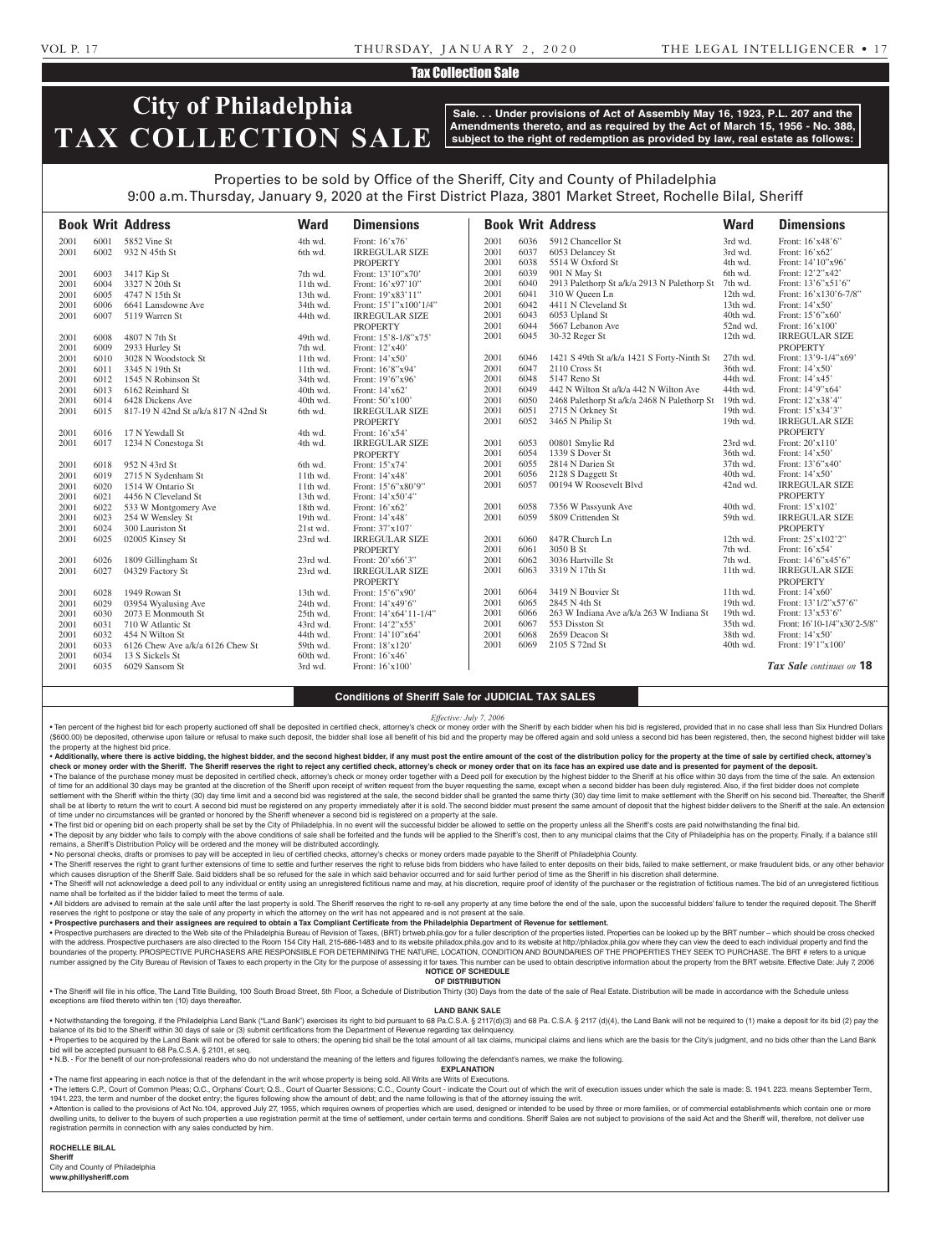# VOL P. 17 THURSDAY, JANUARY 2, 2020 THE LEGAL INTELLIGENCER • 17

# Tax Collection Sale

# **City of Philadelphia TAX COLLECTION SALE**

**Sale. . . Under provisions of Act of Assembly May 16, 1923, P.L. 207 and the Amendments thereto, and as required by the Act of March 15, 1956 - No. 388, subject to the right of redemption as provided by law, real estate as follows:**

# Properties to be sold by Office of the Sheriff, City and County of Philadelphia 9:00 a.m. Thursday, January 9, 2020 at the First District Plaza, 3801 Market Street, Rochelle Bilal, Sheriff

|      |      | <b>Book Writ Address</b>             | <b>Ward</b> | <b>Dimensions</b>     |      |      | <b>Book Writ Address</b>                    | <b>Ward</b> | <b>Dimensions</b>           |
|------|------|--------------------------------------|-------------|-----------------------|------|------|---------------------------------------------|-------------|-----------------------------|
| 2001 | 6001 | 5852 Vine St                         | 4th wd.     | Front: 16'x76'        | 2001 | 6036 | 5912 Chancellor St                          | 3rd wd.     | Front: 16'x48'6"            |
| 2001 | 6002 | 932 N 45th St                        | 6th wd.     | <b>IRREGULAR SIZE</b> | 2001 | 6037 | 6053 Delancey St                            | 3rd wd.     | Front: 16'x62'              |
|      |      |                                      |             | <b>PROPERTY</b>       | 2001 | 6038 | 5514 W Oxford St                            | 4th wd.     | Front: 14'10"x96'           |
| 2001 | 6003 | 3417 Kip St                          | 7th wd.     | Front: 13'10"x70"     | 2001 | 6039 | 901 N May St                                | 6th wd.     | Front: 12'2"x42'            |
| 2001 | 6004 | 3327 N 20th St                       | $11th$ wd.  | Front: 16'x97'10"     | 2001 | 6040 | 2913 Palethorp St a/k/a 2913 N Palethorp St | 7th wd.     | Front: 13'6"x51'6"          |
| 2001 | 6005 | 4747 N 15th St                       | 13th wd.    | Front: 19'x83'11"     | 2001 | 6041 | 310 W Oueen Ln                              | 12th wd.    | Front: 16'x130'6-7/8"       |
| 2001 | 6006 | 6641 Lansdowne Ave                   | 34th wd.    | Front: 15'1"x100'1/4" | 2001 | 6042 | 4411 N Cleveland St                         | 13th wd.    | Front: $14'x50'$            |
| 2001 | 6007 | 5119 Warren St                       | 44th wd.    | <b>IRREGULAR SIZE</b> | 2001 | 6043 | 6053 Upland St                              | 40th wd.    | Front: 15'6"x60"            |
|      |      |                                      |             | <b>PROPERTY</b>       | 2001 | 6044 | 5667 Lebanon Ave                            | 52nd wd.    | Front: 16'x100'             |
| 2001 | 6008 | 4807 N 7th St                        | 49th wd.    | Front: 15'8-1/8"x75'  | 2001 | 6045 | 30-32 Reger St                              | 12th wd.    | <b>IRREGULAR SIZE</b>       |
| 2001 | 6009 | 2933 Hurley St                       | 7th wd.     | Front: 12'x40'        |      |      |                                             |             | <b>PROPERTY</b>             |
| 2001 | 6010 | 3028 N Woodstock St                  | $11th$ wd.  | Front: 14'x50'        | 2001 | 6046 | 1421 S 49th St a/k/a 1421 S Forty-Ninth St  | 27th wd.    | Front: 13'9-1/4"x69"        |
| 2001 | 6011 | 3345 N 19th St                       | 11th wd.    | Front: 16'8"x94'      | 2001 | 6047 | 2110 Cross St                               | 36th wd.    | Front: 14'x50'              |
| 2001 | 6012 | 1545 N Robinson St                   | 34th wd.    | Front: 19'6"x96'      | 2001 | 6048 | 5147 Reno St                                | 44th wd.    | Front: 14'x45'              |
| 2001 | 6013 | 6162 Reinhard St                     | 40th wd.    | Front: 14'x62'        | 2001 | 6049 | 442 N Wilton St a/k/a 442 N Wilton Ave      | 44th wd.    | Front: 14'9"x64'            |
| 2001 | 6014 | 6428 Dickens Ave                     | 40th wd.    | Front: 50'x100'       | 2001 | 6050 | 2468 Palethorp St a/k/a 2468 N Palethorp St | 19th wd.    | Front: 12'x38'4"            |
| 2001 | 6015 | 817-19 N 42nd St a/k/a 817 N 42nd St | 6th wd.     | <b>IRREGULAR SIZE</b> | 2001 | 6051 | 2715 N Orkney St                            | 19th wd.    | Front: 15'x34'3"            |
|      |      |                                      |             | <b>PROPERTY</b>       | 2001 | 6052 | 3465 N Philip St                            | 19th wd.    | <b>IRREGULAR SIZE</b>       |
| 2001 | 6016 | 17 N Yewdall St                      | 4th wd.     | Front: 16'x54'        |      |      |                                             |             | <b>PROPERTY</b>             |
| 2001 | 6017 | 1234 N Conestoga St                  | 4th wd.     | <b>IRREGULAR SIZE</b> | 2001 | 6053 | 00801 Smylie Rd                             | 23rd wd.    | Front: 20'x110'             |
|      |      |                                      |             | <b>PROPERTY</b>       | 2001 | 6054 | 1339 S Dover St                             | 36th wd.    | Front: $14'x50'$            |
| 2001 | 6018 | 952 N 43rd St                        | 6th wd.     | Front: 15'x74'        | 2001 | 6055 | 2814 N Darien St                            | 37th wd.    | Front: 13'6"x40"            |
| 2001 | 6019 | 2715 N Sydenham St                   | 11th wd.    | Front: 14'x48'        | 2001 | 6056 | 2128 S Daggett St                           | 40th wd.    | Front: 14'x50'              |
| 2001 | 6020 | 1514 W Ontario St                    | 11th wd.    | Front: 15'6"x80'9"    | 2001 | 6057 | 00194 W Roosevelt Blvd                      | 42nd wd.    | <b>IRREGULAR SIZE</b>       |
| 2001 | 6021 | 4456 N Cleveland St                  | 13th wd.    | Front: 14'x50'4"      |      |      |                                             |             | <b>PROPERTY</b>             |
| 2001 | 6022 | 533 W Montgomery Ave                 | 18th wd.    | Front: 16'x62'        | 2001 | 6058 | 7356 W Passyunk Ave                         | 40th wd.    | Front: 15'x102'             |
| 2001 | 6023 | 254 W Wensley St                     | 19th wd.    | Front: 14'x48'        | 2001 | 6059 | 5809 Crittenden St                          | 59th wd.    | <b>IRREGULAR SIZE</b>       |
| 2001 | 6024 | 300 Lauriston St                     | 21st wd.    | Front: 37'x107'       |      |      |                                             |             | <b>PROPERTY</b>             |
| 2001 | 6025 | 02005 Kinsey St                      | 23rd wd.    | <b>IRREGULAR SIZE</b> | 2001 | 6060 | 847R Church Ln                              | 12th wd.    | Front: $25'x102'2"$         |
|      |      |                                      |             | <b>PROPERTY</b>       | 2001 | 6061 | 3050 B St                                   | 7th wd.     | Front: $16'x54'$            |
| 2001 | 6026 | 1809 Gillingham St                   | 23rd wd.    | Front: 20'x66'3"      | 2001 | 6062 | 3036 Hartville St                           | 7th wd.     | Front: $14'6''x45'6''$      |
| 2001 | 6027 | 04329 Factory St                     | 23rd wd.    | <b>IRREGULAR SIZE</b> | 2001 | 6063 | 3319 N 17th St                              | 11th wd.    | <b>IRREGULAR SIZE</b>       |
|      |      |                                      |             | <b>PROPERTY</b>       |      |      |                                             |             | <b>PROPERTY</b>             |
| 2001 | 6028 | 1949 Rowan St                        | 13th wd.    | Front: 15'6"x90'      | 2001 | 6064 | 3419 N Bouvier St                           | 11th wd.    | Front: $14'x60'$            |
| 2001 | 6029 | 03954 Wyalusing Ave                  | 24th wd.    | Front: 14'x49'6"      | 2001 | 6065 | 2845 N 4th St                               | 19th wd.    | Front: 13'1/2"x57'6"        |
| 2001 | 6030 | 2073 E Monmouth St                   | 25th wd.    | Front: 14'x64'11-1/4" | 2001 | 6066 | 263 W Indiana Ave a/k/a 263 W Indiana St    | 19th wd.    | Front: 13'x53'6"            |
| 2001 | 6031 | 710 W Atlantic St                    | 43rd wd.    | Front: 14'2"x55'      | 2001 | 6067 | 553 Disston St                              | 35th wd.    | Front: 16'10-1/4"x30'2-5/8" |
| 2001 | 6032 | 454 N Wilton St                      | 44th wd.    | Front: 14'10"x64'     | 2001 | 6068 | 2659 Deacon St                              | 38th wd.    | Front: 14'x50'              |
| 2001 | 6033 | 6126 Chew Ave a/k/a 6126 Chew St     | 59th wd.    | Front: 18'x120'       | 2001 | 6069 | 2105 S 72nd St                              | 40th wd.    | Front: 19'1"x100'           |
| 2001 | 6034 | 13 S Sickels St                      | 60th wd.    | Front: 16'x46'        |      |      |                                             |             |                             |
| 2001 | 6035 | 6029 Sansom St                       | 3rd wd.     | Front: 16'x100'       |      |      |                                             |             | Tax Sale continues on 18    |

### **Conditions of Sheriff Sale for JUDICIAL TAX SALES**

*Effective: July 7, 2006*

· Ten percent of the highest bid for each property auctioned off shall be deposited in certified check, attorney's check or money order with the Sheriff by each bidder when his bid is registered, provided that in no case s (\$600.00) be deposited, otherwise upon failure or refusal to make such deposit, the bidder shall lose all benefit of his bid and the property may be offered again and sold unless a second bid has been registered, then, the the property at the highest bid price.

. Additionally, where there is active bidding, the highest bidder, and the second highest bidder, if any must post the entire amount of the cost of the distribution policy for the property at the time of sale by certified check or money order with the Sheriff. The Sheriff reserves the right to reject any certified check, attorney's check or money order that on its face has an expired use date and is presented for payment of the deposit. . The balance of the purchase money must be deposited in certified check, attorney's check or money order together with a Deed poll for execution by the highest bidder to the Sheriff at his office within 30 days from the t

of time for an additional 30 days may be granted at the discretion of the Sheriff upon receipt of written request from the buyer requesting the same, except when a second bidder has been duly registered. Also, if the first settlement with the Sheriff within the thirty (30) day time limit and a second bid was registered at the sale, the second bidder shall be granted the same thirty (30) day time limit to make settlement with the Sheriff on h shall be at liberty to return the writ to court. A second bid must be registered on any property immediately after it is sold. The second bidder must present the same amount of deposit that the highest bidder delivers to t of time under no circumstances will be granted or honored by the Sheriff whenever a second bid is registered on a property at the sale.

. The first bid or opening bid on each property shall be set by the City of Philadelphia. In no event will the successful bidder be allowed to settle on the property unless all the Sheriff's costs are paid notwithstanding . The deposit by any bidder who fails to comply with the above conditions of sale shall be forfeited and the funds will be applied to the Sheriff's cost, then to any municipal claims that the City of Philadelphia has on th

remains, a Sheriff's Distribution Policy will be ordered and the money will be distributed accordingly.

• No personal checks, drafts or promises to pay will be accepted in lieu of certified checks, attorney's checks or money orders made payable to the Sheriff of Philadelphia County.

. The Sheriff reserves the right to grant further extensions of time to settle and further reserves the right to refuse bids from bidders who have failed to enter deposits on their bids, failed to make settlement, or make which causes disruption of the Sheriff Sale. Said bidders shall be so refused for the sale in which said behavior occurred and for said further period of time as the Sheriff in his discretion shall determine. . The Sheriff will not acknowledge a deed poll to any individual or entity using an unregistered fictitious name and may, at his discretion, require proof of identity of the purchaser or the registration of fictitious name

name shall be forfeited as if the bidder failed to meet the terms of sale. . All bidders are advised to remain at the sale until after the last property is sold. The Sheriff reserves the right to re-sell any property at any time before the end of the sale, upon the successful bidders' failure to reserves the right to postpone or stay the sale of any property in which the attorney on the writ has not appeared and is not present at the sale

• **Prospective purchasers and their assignees are required to obtain a Tax Compliant Certificate from the Philadelphia Department of Revenue for settlement.**

. Prospective purchasers are directed to the Web site of the Philadelphia Bureau of Revision of Taxes, (BRT) brtweb.phila.gov for a fuller description of the properties listed. Properties can be looked up by the BRT number with the address. Prospective purchasers are also directed to the Room 154 City Hall, 215-686-1483 and to its website philadox.phila.gov and to its website at http://philadox.phila.gov where they can view the deed to each boundaries of the property. PROSPECTIVE PURCHASERS ARE RESPONSIBLE FOR DETERMINING THE NATURE, LOCATION, CONDITION AND BOUNDARIES OF THE PROPERTIES THEY SEEK TO PURCHASE. The BRT # refers to a unique number assigned by the City Bureau of Revision of Taxes to each property in the City for the purpose of assessing it for taxes. This number can be used to obtain descriptive information about the property from the BRT webs **NOTICE OF SCHEDULE**

#### **OF DISTRIBUTION**

. The Sheriff will file in his office, The Land Title Building, 100 South Broad Street, 5th Floor, a Schedule of Distribution Thirty (30) Days from the date of the sale of Real Estate. Distribution will be made in accordan exceptions are filed thereto within ten (10) days thereafter

#### **LAND BANK SALE**

. Notwithstanding the foregoing, if the Philadelphia Land Bank ("Land Bank") exercises its right to bid pursuant to 68 Pa.C.S.A. § 2117(d)(3) and 68 Pa.C.S.A. § 2117 (d)(4), the Land Bank will not be required to (1) make a balance of its bid to the Sheriff within 30 days of sale or (3) submit certifications from the Department of Revenue regarding tax delinquency.

· Properties to be acquired by the Land Bank will not be offered for sale to others; the opening bid shall be the total amount of all tax claims, municipal claims and liens which are the basis for the City's judgment, and bid will be accepted pursuant to 68 Pa.C.S.A. § 2101, et seq.

• N.B. - For the benefit of our non-professional readers who do not understand the meaning of the letters and figures following the defendant's names, we make the following. **EXPLANATION** 

• The name first appearing in each notice is that of the defendant in the writ whose property is being sold. All Writs are Writs of Executions.

• The letters C.P., Court of Common Pleas: O.C., Orphans' Court: Q.S., Court of Quarter Sessions: C.C., County Court - indicate the Court out of which the writ of execution issues under which the sale is made: S. 1941, 223 1941. 223, the term and number of the docket entry; the figures following show the amount of debt; and the name following is that of the attorney issuing the writ.

Attention is called to the provisions of Act No.104, approved July 27, 1955, which requires owners of properties which are used, designed or intended to be used by three or more families, or of commercial establishments wh dwelling units, to deliver to the buyers of such properties a use registration permit at the time of settlement, under certain terms and conditions. Sheriff Sales are not subject to provisions of the said Act and the Sheri registration permits in connection with any sales conducted by him.

#### **ROCHELLE BILAL Sheriff**

City and County of Philadelphia **www.phillysheriff.com**